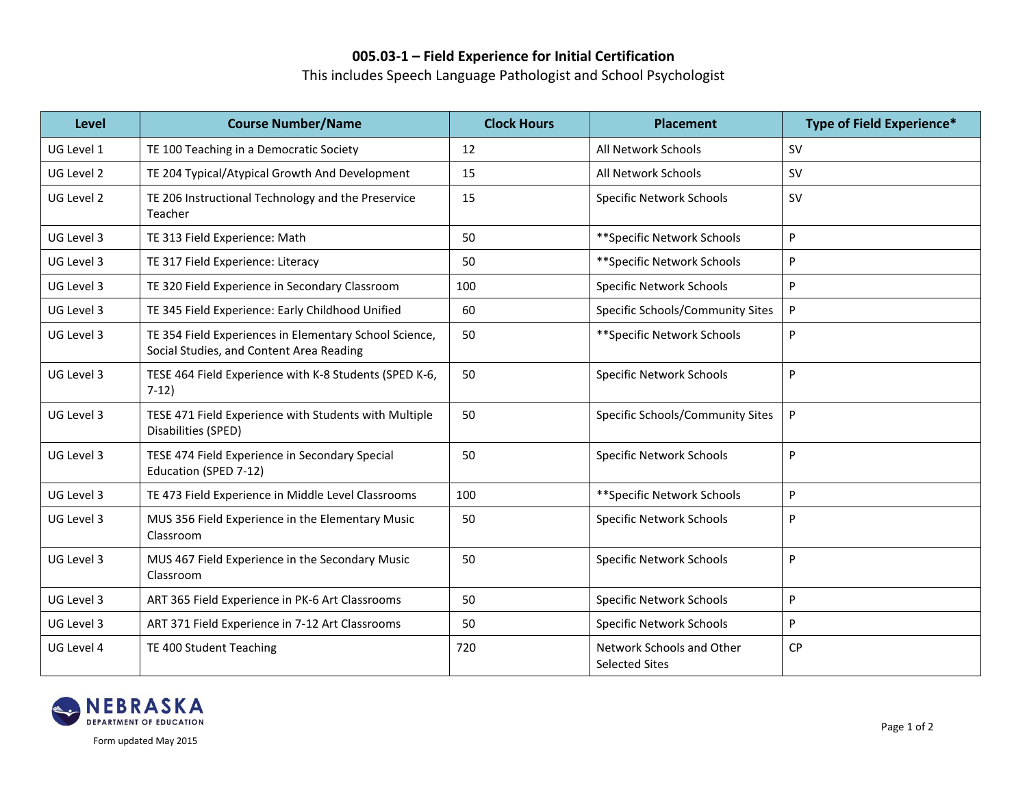## **005.03-1 – Field Experience for Initial Certification**

This includes Speech Language Pathologist and School Psychologist

| Level      | <b>Course Number/Name</b>                                                                          | <b>Clock Hours</b> | <b>Placement</b>                                   | Type of Field Experience* |
|------------|----------------------------------------------------------------------------------------------------|--------------------|----------------------------------------------------|---------------------------|
| UG Level 1 | TE 100 Teaching in a Democratic Society                                                            | 12                 | All Network Schools                                | <b>SV</b>                 |
| UG Level 2 | TE 204 Typical/Atypical Growth And Development                                                     | 15                 | All Network Schools                                | <b>SV</b>                 |
| UG Level 2 | TE 206 Instructional Technology and the Preservice<br>Teacher                                      | 15                 | <b>Specific Network Schools</b>                    | <b>SV</b>                 |
| UG Level 3 | TE 313 Field Experience: Math                                                                      | 50                 | ** Specific Network Schools                        | P                         |
| UG Level 3 | TE 317 Field Experience: Literacy                                                                  | 50                 | ** Specific Network Schools                        | P                         |
| UG Level 3 | TE 320 Field Experience in Secondary Classroom                                                     | 100                | <b>Specific Network Schools</b>                    | P                         |
| UG Level 3 | TE 345 Field Experience: Early Childhood Unified                                                   | 60                 | Specific Schools/Community Sites                   | P                         |
| UG Level 3 | TE 354 Field Experiences in Elementary School Science,<br>Social Studies, and Content Area Reading | 50                 | ** Specific Network Schools                        | P                         |
| UG Level 3 | TESE 464 Field Experience with K-8 Students (SPED K-6,<br>$7-12)$                                  | 50                 | <b>Specific Network Schools</b>                    | P                         |
| UG Level 3 | TESE 471 Field Experience with Students with Multiple<br>Disabilities (SPED)                       | 50                 | Specific Schools/Community Sites                   | P                         |
| UG Level 3 | TESE 474 Field Experience in Secondary Special<br>Education (SPED 7-12)                            | 50                 | <b>Specific Network Schools</b>                    | P                         |
| UG Level 3 | TE 473 Field Experience in Middle Level Classrooms                                                 | 100                | ** Specific Network Schools                        | P                         |
| UG Level 3 | MUS 356 Field Experience in the Elementary Music<br>Classroom                                      | 50                 | <b>Specific Network Schools</b>                    | P                         |
| UG Level 3 | MUS 467 Field Experience in the Secondary Music<br>Classroom                                       | 50                 | <b>Specific Network Schools</b>                    | P                         |
| UG Level 3 | ART 365 Field Experience in PK-6 Art Classrooms                                                    | 50                 | <b>Specific Network Schools</b>                    | P                         |
| UG Level 3 | ART 371 Field Experience in 7-12 Art Classrooms                                                    | 50                 | <b>Specific Network Schools</b>                    | P                         |
| UG Level 4 | TE 400 Student Teaching                                                                            | 720                | Network Schools and Other<br><b>Selected Sites</b> | <b>CP</b>                 |